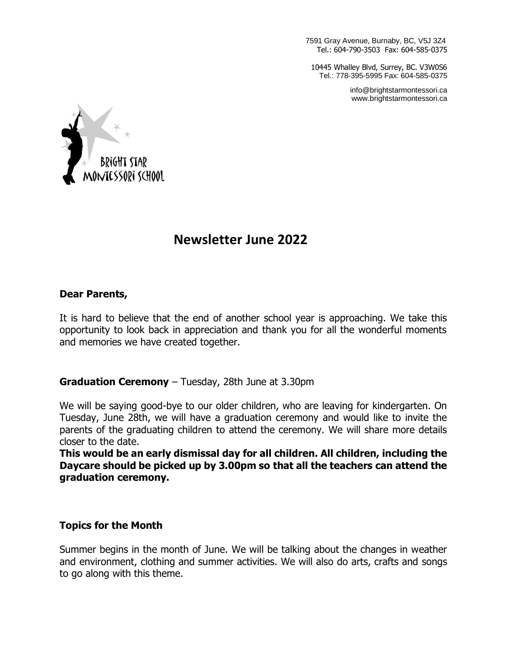7591 Gray Avenue, Burnaby, BC, V5J 3Z4 Tel.: 604-790-3503 Fax: 604-585-0375

10445 Whalley Blvd, Surrey, BC. V3W0S6 Tel.: 778-395-5995 Fax: 604-585-0375

> info@brightstarmontessori.ca www.brightstarmontessori.ca



# **Newsletter June 2022**

#### **Dear Parents,**

It is hard to believe that the end of another school year is approaching. We take this opportunity to look back in appreciation and thank you for all the wonderful moments and memories we have created together.

#### **Graduation Ceremony** – Tuesday, 28th June at 3.30pm

We will be saying good-bye to our older children, who are leaving for kindergarten. On Tuesday, June 28th, we will have a graduation ceremony and would like to invite the parents of the graduating children to attend the ceremony. We will share more details closer to the date.

**This would be an early dismissal day for all children. All children, including the Daycare should be picked up by 3.00pm so that all the teachers can attend the graduation ceremony.**

#### **Topics for the Month**

Summer begins in the month of June. We will be talking about the changes in weather and environment, clothing and summer activities. We will also do arts, crafts and songs to go along with this theme.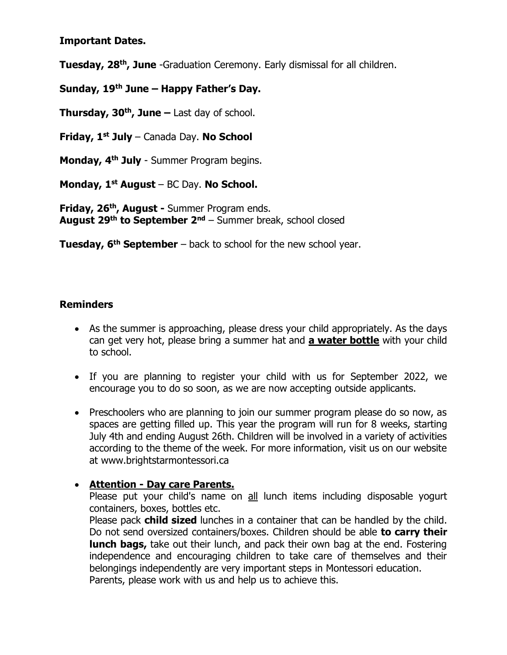**Important Dates.**

**Tuesday, 28<sup>th</sup>, June** -Graduation Ceremony. Early dismissal for all children.

**Sunday, 19th June – Happy Father's Day.**

**Thursday, 30th , June –** Last day of school.

**Friday, 1st July** – Canada Day. **No School**

**Monday, 4 th July** - Summer Program begins.

**Monday, 1st August** – BC Day. **No School.**

**Friday, 26 th , August -** Summer Program ends. **August 29th to September 2nd** – Summer break, school closed

**Tuesday, 6 th September** – back to school for the new school year.

## **Reminders**

- As the summer is approaching, please dress your child appropriately. As the days can get very hot, please bring a summer hat and **a water bottle** with your child to school.
- If you are planning to register your child with us for September 2022, we encourage you to do so soon, as we are now accepting outside applicants.
- Preschoolers who are planning to join our summer program please do so now, as spaces are getting filled up. This year the program will run for 8 weeks, starting July 4th and ending August 26th. Children will be involved in a variety of activities according to the theme of the week. For more information, visit us on our website at www.brightstarmontessori.ca

## • **Attention - Day care Parents.**

Please put your child's name on all lunch items including disposable yogurt containers, boxes, bottles etc.

Please pack **child sized** lunches in a container that can be handled by the child. Do not send oversized containers/boxes. Children should be able **to carry their lunch bags,** take out their lunch, and pack their own bag at the end. Fostering independence and encouraging children to take care of themselves and their belongings independently are very important steps in Montessori education. Parents, please work with us and help us to achieve this.